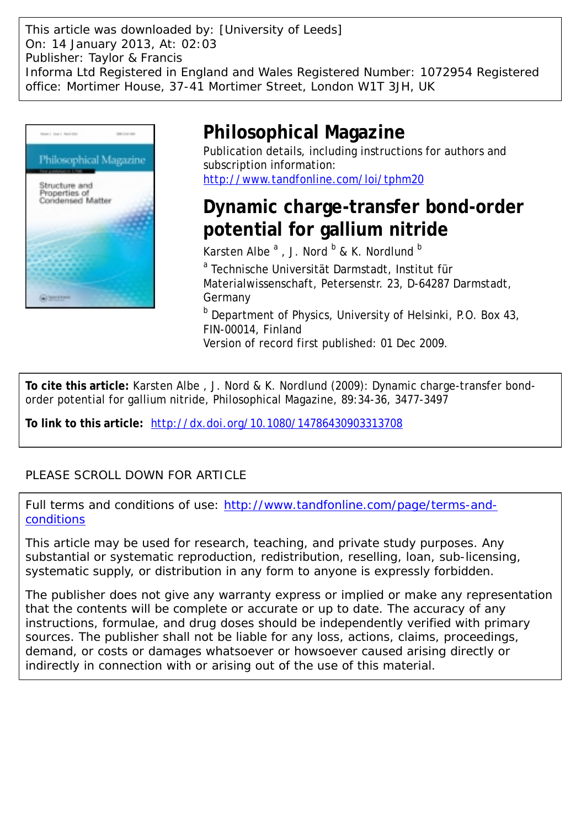This article was downloaded by: [University of Leeds] On: 14 January 2013, At: 02:03 Publisher: Taylor & Francis Informa Ltd Registered in England and Wales Registered Number: 1072954 Registered office: Mortimer House, 37-41 Mortimer Street, London W1T 3JH, UK



# **Philosophical Magazine**

Publication details, including instructions for authors and subscription information: <http://www.tandfonline.com/loi/tphm20>

# **Dynamic charge-transfer bond-order potential for gallium nitride**

Karsten Albe<sup>a</sup>, J. Nord<sup>b</sup> & K. Nordlund<sup>b</sup> <sup>a</sup> Technische Universität Darmstadt, Institut für Materialwissenschaft, Petersenstr. 23, D-64287 Darmstadt, Germany b Department of Physics, University of Helsinki, P.O. Box 43, FIN-00014, Finland

Version of record first published: 01 Dec 2009.

**To cite this article:** Karsten Albe , J. Nord & K. Nordlund (2009): Dynamic charge-transfer bondorder potential for gallium nitride, Philosophical Magazine, 89:34-36, 3477-3497

**To link to this article:** <http://dx.doi.org/10.1080/14786430903313708>

# PLEASE SCROLL DOWN FOR ARTICLE

Full terms and conditions of use: [http://www.tandfonline.com/page/terms-and](http://www.tandfonline.com/page/terms-and-conditions)[conditions](http://www.tandfonline.com/page/terms-and-conditions)

This article may be used for research, teaching, and private study purposes. Any substantial or systematic reproduction, redistribution, reselling, loan, sub-licensing, systematic supply, or distribution in any form to anyone is expressly forbidden.

The publisher does not give any warranty express or implied or make any representation that the contents will be complete or accurate or up to date. The accuracy of any instructions, formulae, and drug doses should be independently verified with primary sources. The publisher shall not be liable for any loss, actions, claims, proceedings, demand, or costs or damages whatsoever or howsoever caused arising directly or indirectly in connection with or arising out of the use of this material.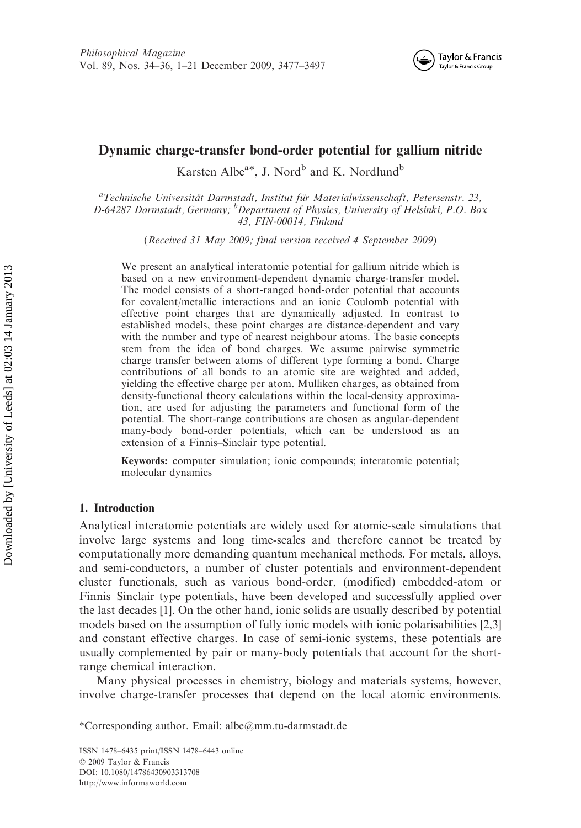

# Dynamic charge-transfer bond-order potential for gallium nitride

Karsten Albe<sup>a\*</sup>, J. Nord<sup>b</sup> and K. Nordlund<sup>b</sup>

<sup>a</sup>Technische Universität Darmstadt, Institut für Materialwissenschaft, Petersenstr. 23, D-64287 Darmstadt, Germany; <sup>b</sup>Department of Physics, University of Helsinki, P.O. Box 43, FIN-00014, Finland

(Received 31 May 2009; final version received 4 September 2009)

We present an analytical interatomic potential for gallium nitride which is based on a new environment-dependent dynamic charge-transfer model. The model consists of a short-ranged bond-order potential that accounts for covalent/metallic interactions and an ionic Coulomb potential with effective point charges that are dynamically adjusted. In contrast to established models, these point charges are distance-dependent and vary with the number and type of nearest neighbour atoms. The basic concepts stem from the idea of bond charges. We assume pairwise symmetric charge transfer between atoms of different type forming a bond. Charge contributions of all bonds to an atomic site are weighted and added, yielding the effective charge per atom. Mulliken charges, as obtained from density-functional theory calculations within the local-density approximation, are used for adjusting the parameters and functional form of the potential. The short-range contributions are chosen as angular-dependent many-body bond-order potentials, which can be understood as an extension of a Finnis–Sinclair type potential.

Keywords: computer simulation; ionic compounds; interatomic potential; molecular dynamics

# 1. Introduction

Analytical interatomic potentials are widely used for atomic-scale simulations that involve large systems and long time-scales and therefore cannot be treated by computationally more demanding quantum mechanical methods. For metals, alloys, and semi-conductors, a number of cluster potentials and environment-dependent cluster functionals, such as various bond-order, (modified) embedded-atom or Finnis–Sinclair type potentials, have been developed and successfully applied over the last decades [1]. On the other hand, ionic solids are usually described by potential models based on the assumption of fully ionic models with ionic polarisabilities [2,3] and constant effective charges. In case of semi-ionic systems, these potentials are usually complemented by pair or many-body potentials that account for the shortrange chemical interaction.

Many physical processes in chemistry, biology and materials systems, however, involve charge-transfer processes that depend on the local atomic environments.

\*Corresponding author. Email: albe@mm.tu-darmstadt.de

ISSN 1478–6435 print/ISSN 1478–6443 online © 2009 Taylor & Francis DOI: 10.1080/14786430903313708 http://www.informaworld.com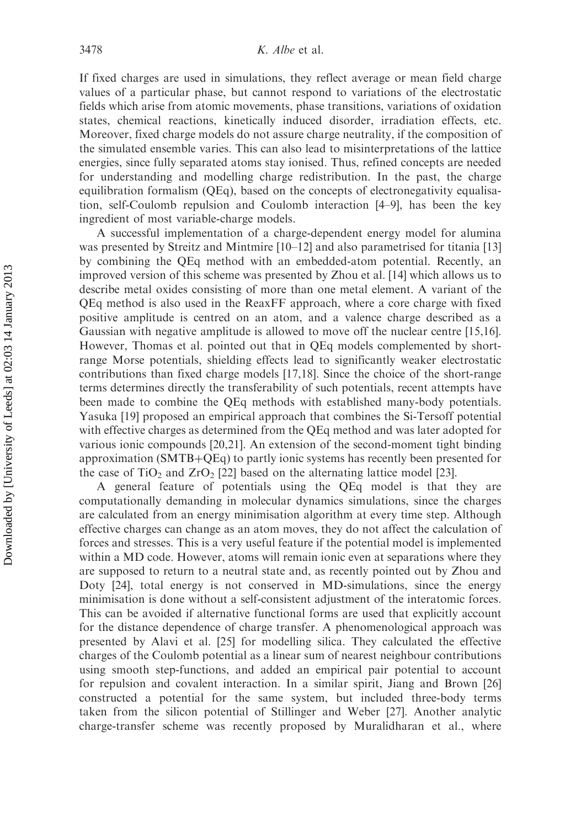If fixed charges are used in simulations, they reflect average or mean field charge values of a particular phase, but cannot respond to variations of the electrostatic fields which arise from atomic movements, phase transitions, variations of oxidation states, chemical reactions, kinetically induced disorder, irradiation effects, etc. Moreover, fixed charge models do not assure charge neutrality, if the composition of the simulated ensemble varies. This can also lead to misinterpretations of the lattice energies, since fully separated atoms stay ionised. Thus, refined concepts are needed for understanding and modelling charge redistribution. In the past, the charge equilibration formalism (QEq), based on the concepts of electronegativity equalisation, self-Coulomb repulsion and Coulomb interaction [4–9], has been the key ingredient of most variable-charge models.

A successful implementation of a charge-dependent energy model for alumina was presented by Streitz and Mintmire [10–12] and also parametrised for titania [13] by combining the QEq method with an embedded-atom potential. Recently, an improved version of this scheme was presented by Zhou et al. [14] which allows us to describe metal oxides consisting of more than one metal element. A variant of the QEq method is also used in the ReaxFF approach, where a core charge with fixed positive amplitude is centred on an atom, and a valence charge described as a Gaussian with negative amplitude is allowed to move off the nuclear centre [15,16]. However, Thomas et al. pointed out that in QEq models complemented by shortrange Morse potentials, shielding effects lead to significantly weaker electrostatic contributions than fixed charge models [17,18]. Since the choice of the short-range terms determines directly the transferability of such potentials, recent attempts have been made to combine the QEq methods with established many-body potentials. Yasuka [19] proposed an empirical approach that combines the Si-Tersoff potential with effective charges as determined from the QEq method and was later adopted for various ionic compounds [20,21]. An extension of the second-moment tight binding approximation (SMTB+QEq) to partly ionic systems has recently been presented for the case of TiO<sub>2</sub> and  $ZrO<sub>2</sub>$  [22] based on the alternating lattice model [23].

A general feature of potentials using the QEq model is that they are computationally demanding in molecular dynamics simulations, since the charges are calculated from an energy minimisation algorithm at every time step. Although effective charges can change as an atom moves, they do not affect the calculation of forces and stresses. This is a very useful feature if the potential model is implemented within a MD code. However, atoms will remain ionic even at separations where they are supposed to return to a neutral state and, as recently pointed out by Zhou and Doty [24], total energy is not conserved in MD-simulations, since the energy minimisation is done without a self-consistent adjustment of the interatomic forces. This can be avoided if alternative functional forms are used that explicitly account for the distance dependence of charge transfer. A phenomenological approach was presented by Alavi et al. [25] for modelling silica. They calculated the effective charges of the Coulomb potential as a linear sum of nearest neighbour contributions using smooth step-functions, and added an empirical pair potential to account for repulsion and covalent interaction. In a similar spirit, Jiang and Brown [26] constructed a potential for the same system, but included three-body terms taken from the silicon potential of Stillinger and Weber [27]. Another analytic charge-transfer scheme was recently proposed by Muralidharan et al., where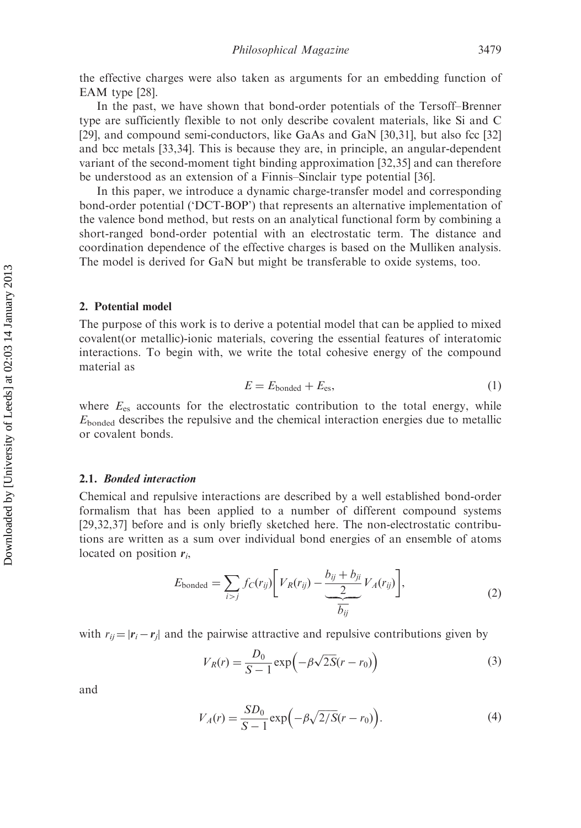the effective charges were also taken as arguments for an embedding function of EAM type [28].

In the past, we have shown that bond-order potentials of the Tersoff–Brenner type are sufficiently flexible to not only describe covalent materials, like Si and C [29], and compound semi-conductors, like GaAs and GaN [30,31], but also fcc [32] and bcc metals [33,34]. This is because they are, in principle, an angular-dependent variant of the second-moment tight binding approximation [32,35] and can therefore be understood as an extension of a Finnis–Sinclair type potential [36].

In this paper, we introduce a dynamic charge-transfer model and corresponding bond-order potential ('DCT-BOP') that represents an alternative implementation of the valence bond method, but rests on an analytical functional form by combining a short-ranged bond-order potential with an electrostatic term. The distance and coordination dependence of the effective charges is based on the Mulliken analysis. The model is derived for GaN but might be transferable to oxide systems, too.

### 2. Potential model

The purpose of this work is to derive a potential model that can be applied to mixed covalent(or metallic)-ionic materials, covering the essential features of interatomic interactions. To begin with, we write the total cohesive energy of the compound material as

$$
E = E_{\text{bonded}} + E_{\text{es}},\tag{1}
$$

where  $E_{es}$  accounts for the electrostatic contribution to the total energy, while  $E_{\text{bonded}}$  describes the repulsive and the chemical interaction energies due to metallic or covalent bonds.

# 2.1. Bonded interaction

Chemical and repulsive interactions are described by a well established bond-order formalism that has been applied to a number of different compound systems [29,32,37] before and is only briefly sketched here. The non-electrostatic contributions are written as a sum over individual bond energies of an ensemble of atoms located on position  $r_i$ ,

$$
E_{\text{bonded}} = \sum_{i>j} f_C(r_{ij}) \bigg[ V_R(r_{ij}) - \underbrace{\frac{b_{ij} + b_{ji}}{2}}_{\overline{b_{ij}}} V_A(r_{ij}) \bigg],\tag{2}
$$

with  $r_{ij} = |r_i - r_j|$  and the pairwise attractive and repulsive contributions given by

$$
V_R(r) = \frac{D_0}{S - 1} \exp\left(-\beta \sqrt{2S}(r - r_0)\right)
$$
 (3)

and

$$
V_A(r) = \frac{SD_0}{S - 1} \exp(-\beta \sqrt{2/S(r - r_0)}).
$$
 (4)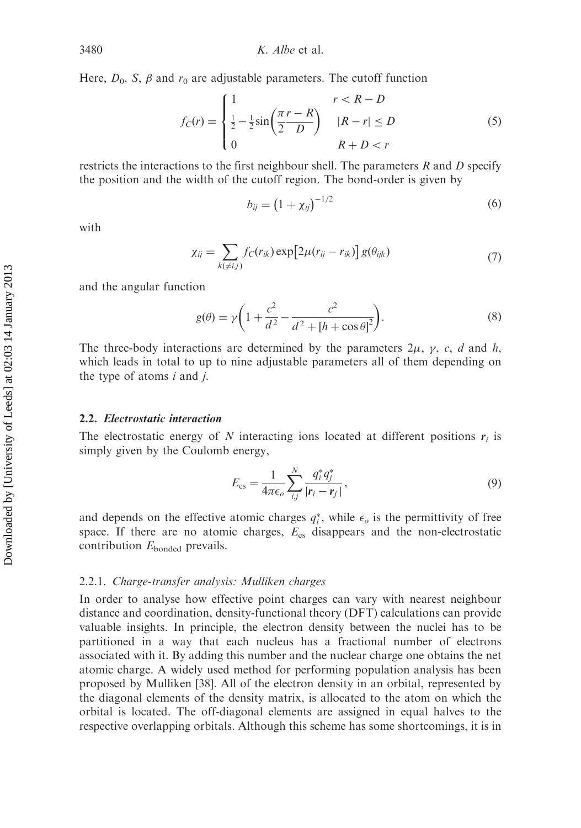Here,  $D_0$ , S,  $\beta$  and  $r_0$  are adjustable parameters. The cutoff function

$$
f_C(r) = \begin{cases} 1 & r < R - D \\ \frac{1}{2} - \frac{1}{2}\sin\left(\frac{\pi}{2}\frac{r - R}{D}\right) & |R - r| \le D \\ 0 & R + D < r \end{cases}
$$
(5)

restricts the interactions to the first neighbour shell. The parameters  $R$  and  $D$  specify the position and the width of the cutoff region. The bond-order is given by

$$
b_{ij} = (1 + \chi_{ij})^{-1/2}
$$
 (6)

with

$$
\chi_{ij} = \sum_{k(\neq i,j)} f_C(r_{ik}) \exp[2\mu(r_{ij} - r_{ik})] g(\theta_{ijk}) \tag{7}
$$

and the angular function

$$
g(\theta) = \gamma \bigg( 1 + \frac{c^2}{d^2} - \frac{c^2}{d^2 + [h + \cos \theta]^2} \bigg). \tag{8}
$$

The three-body interactions are determined by the parameters  $2\mu$ ,  $\gamma$ , c, d and h, which leads in total to up to nine adjustable parameters all of them depending on the type of atoms  $i$  and  $j$ .

### 2.2. Electrostatic interaction

The electrostatic energy of N interacting ions located at different positions  $r_i$  is simply given by the Coulomb energy,

$$
E_{\rm es} = \frac{1}{4\pi\epsilon_o} \sum_{i,j}^{N} \frac{q_i^* q_j^*}{|\mathbf{r}_i - \mathbf{r}_j|},\tag{9}
$$

and depends on the effective atomic charges  $q_i^*$ , while  $\epsilon_o$  is the permittivity of free space. If there are no atomic charges,  $E_{es}$  disappears and the non-electrostatic contribution  $E_{\text{bonded}}$  prevails.

#### 2.2.1. Charge-transfer analysis: Mulliken charges

In order to analyse how effective point charges can vary with nearest neighbour distance and coordination, density-functional theory (DFT) calculations can provide valuable insights. In principle, the electron density between the nuclei has to be partitioned in a way that each nucleus has a fractional number of electrons associated with it. By adding this number and the nuclear charge one obtains the net atomic charge. A widely used method for performing population analysis has been proposed by Mulliken [38]. All of the electron density in an orbital, represented by the diagonal elements of the density matrix, is allocated to the atom on which the orbital is located. The off-diagonal elements are assigned in equal halves to the respective overlapping orbitals. Although this scheme has some shortcomings, it is in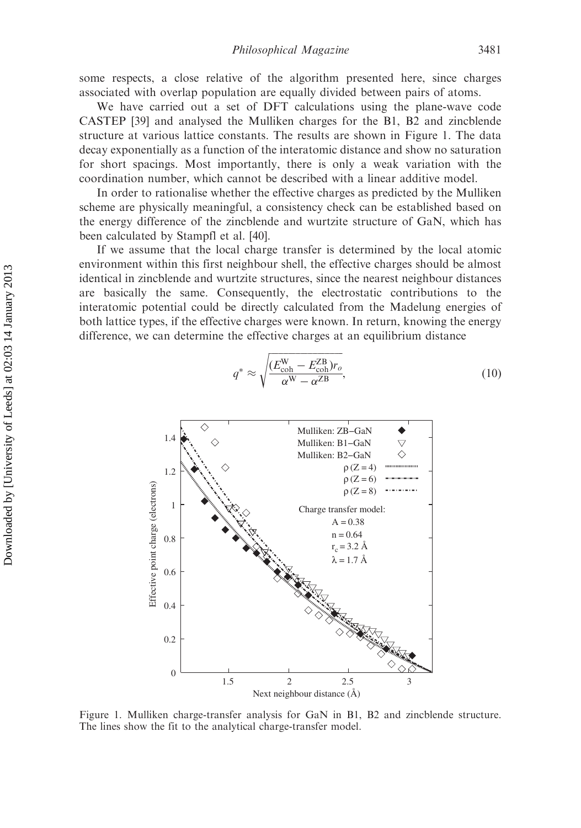some respects, a close relative of the algorithm presented here, since charges associated with overlap population are equally divided between pairs of atoms.

We have carried out a set of DFT calculations using the plane-wave code CASTEP [39] and analysed the Mulliken charges for the B1, B2 and zincblende structure at various lattice constants. The results are shown in Figure 1. The data decay exponentially as a function of the interatomic distance and show no saturation for short spacings. Most importantly, there is only a weak variation with the coordination number, which cannot be described with a linear additive model.

In order to rationalise whether the effective charges as predicted by the Mulliken scheme are physically meaningful, a consistency check can be established based on the energy difference of the zincblende and wurtzite structure of GaN, which has been calculated by Stampfl et al. [40].

If we assume that the local charge transfer is determined by the local atomic environment within this first neighbour shell, the effective charges should be almost identical in zincblende and wurtzite structures, since the nearest neighbour distances are basically the same. Consequently, the electrostatic contributions to the interatomic potential could be directly calculated from the Madelung energies of both lattice types, if the effective charges were known. In return, knowing the energy difference, we can determine the effective charges at an equilibrium distance

$$
q^* \approx \sqrt{\frac{(E_{\rm coh}^{\rm W} - E_{\rm coh}^{\rm ZB})r_o}{\alpha^{\rm W} - \alpha^{\rm ZB}}},\tag{10}
$$



Figure 1. Mulliken charge-transfer analysis for GaN in B1, B2 and zincblende structure. The lines show the fit to the analytical charge-transfer model.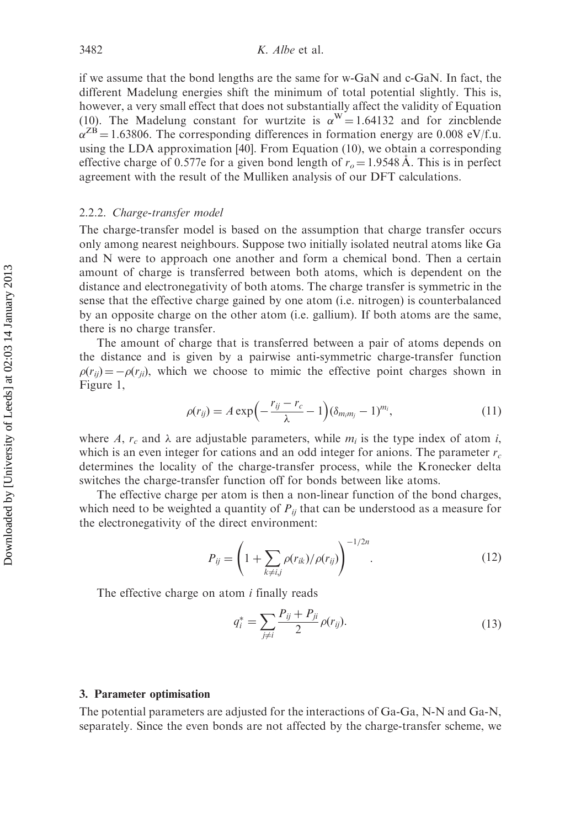if we assume that the bond lengths are the same for w-GaN and c-GaN. In fact, the different Madelung energies shift the minimum of total potential slightly. This is, however, a very small effect that does not substantially affect the validity of Equation (10). The Madelung constant for wurtzite is  $\alpha^{W} = 1.64132$  and for zincblende  $\alpha^{ZB}$  = 1.63806. The corresponding differences in formation energy are 0.008 eV/f.u. using the LDA approximation [40]. From Equation (10), we obtain a corresponding effective charge of 0.577e for a given bond length of  $r<sub>o</sub> = 1.9548$  Å. This is in perfect agreement with the result of the Mulliken analysis of our DFT calculations.

# 2.2.2. Charge-transfer model

The charge-transfer model is based on the assumption that charge transfer occurs only among nearest neighbours. Suppose two initially isolated neutral atoms like Ga and N were to approach one another and form a chemical bond. Then a certain amount of charge is transferred between both atoms, which is dependent on the distance and electronegativity of both atoms. The charge transfer is symmetric in the sense that the effective charge gained by one atom (i.e. nitrogen) is counterbalanced by an opposite charge on the other atom (i.e. gallium). If both atoms are the same, there is no charge transfer.

The amount of charge that is transferred between a pair of atoms depends on the distance and is given by a pairwise anti-symmetric charge-transfer function  $\rho(r_{ij}) = -\rho(r_{ji})$ , which we choose to mimic the effective point charges shown in Figure 1,

$$
\rho(r_{ij}) = A \exp\left(-\frac{r_{ij} - r_c}{\lambda} - 1\right) (\delta_{m_i m_j} - 1)^{m_i},\tag{11}
$$

where A,  $r_c$  and  $\lambda$  are adjustable parameters, while  $m_i$  is the type index of atom i, which is an even integer for cations and an odd integer for anions. The parameter  $r_c$ determines the locality of the charge-transfer process, while the Kronecker delta switches the charge-transfer function off for bonds between like atoms.

The effective charge per atom is then a non-linear function of the bond charges, which need to be weighted a quantity of  $P_{ij}$  that can be understood as a measure for the electronegativity of the direct environment:

$$
P_{ij} = \left(1 + \sum_{k \neq i,j} \rho(r_{ik})/\rho(r_{ij})\right)^{-1/2n}.
$$
 (12)

The effective charge on atom  $i$  finally reads

$$
q_i^* = \sum_{j \neq i} \frac{P_{ij} + P_{ji}}{2} \rho(r_{ij}).
$$
\n(13)

# 3. Parameter optimisation

The potential parameters are adjusted for the interactions of Ga-Ga, N-N and Ga-N, separately. Since the even bonds are not affected by the charge-transfer scheme, we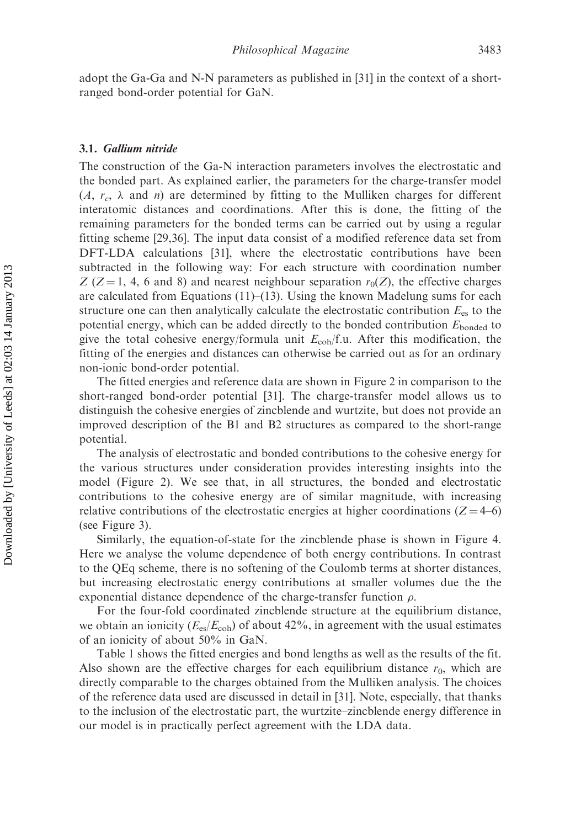adopt the Ga-Ga and N-N parameters as published in [31] in the context of a shortranged bond-order potential for GaN.

### 3.1. Gallium nitride

The construction of the Ga-N interaction parameters involves the electrostatic and the bonded part. As explained earlier, the parameters for the charge-transfer model  $(A, r_c, \lambda \text{ and } n)$  are determined by fitting to the Mulliken charges for different interatomic distances and coordinations. After this is done, the fitting of the remaining parameters for the bonded terms can be carried out by using a regular fitting scheme [29,36]. The input data consist of a modified reference data set from DFT-LDA calculations [31], where the electrostatic contributions have been subtracted in the following way: For each structure with coordination number  $Z$  ( $Z = 1, 4, 6$  and 8) and nearest neighbour separation  $r_0(Z)$ , the effective charges are calculated from Equations  $(11)$ – $(13)$ . Using the known Madelung sums for each structure one can then analytically calculate the electrostatic contribution  $E_{\text{es}}$  to the potential energy, which can be added directly to the bonded contribution  $E_{\text{bonded}}$  to give the total cohesive energy/formula unit  $E_{coh}/f.u.$  After this modification, the fitting of the energies and distances can otherwise be carried out as for an ordinary non-ionic bond-order potential.

The fitted energies and reference data are shown in Figure 2 in comparison to the short-ranged bond-order potential [31]. The charge-transfer model allows us to distinguish the cohesive energies of zincblende and wurtzite, but does not provide an improved description of the B1 and B2 structures as compared to the short-range potential.

The analysis of electrostatic and bonded contributions to the cohesive energy for the various structures under consideration provides interesting insights into the model (Figure 2). We see that, in all structures, the bonded and electrostatic contributions to the cohesive energy are of similar magnitude, with increasing relative contributions of the electrostatic energies at higher coordinations ( $Z = 4-6$ ) (see Figure 3).

Similarly, the equation-of-state for the zincblende phase is shown in Figure 4. Here we analyse the volume dependence of both energy contributions. In contrast to the QEq scheme, there is no softening of the Coulomb terms at shorter distances, but increasing electrostatic energy contributions at smaller volumes due the the exponential distance dependence of the charge-transfer function  $\rho$ .

For the four-fold coordinated zincblende structure at the equilibrium distance, we obtain an ionicity ( $E_{\text{es}}/E_{\text{coh}}$ ) of about 42%, in agreement with the usual estimates of an ionicity of about 50% in GaN.

Table 1 shows the fitted energies and bond lengths as well as the results of the fit. Also shown are the effective charges for each equilibrium distance  $r_0$ , which are directly comparable to the charges obtained from the Mulliken analysis. The choices of the reference data used are discussed in detail in [31]. Note, especially, that thanks to the inclusion of the electrostatic part, the wurtzite–zincblende energy difference in our model is in practically perfect agreement with the LDA data.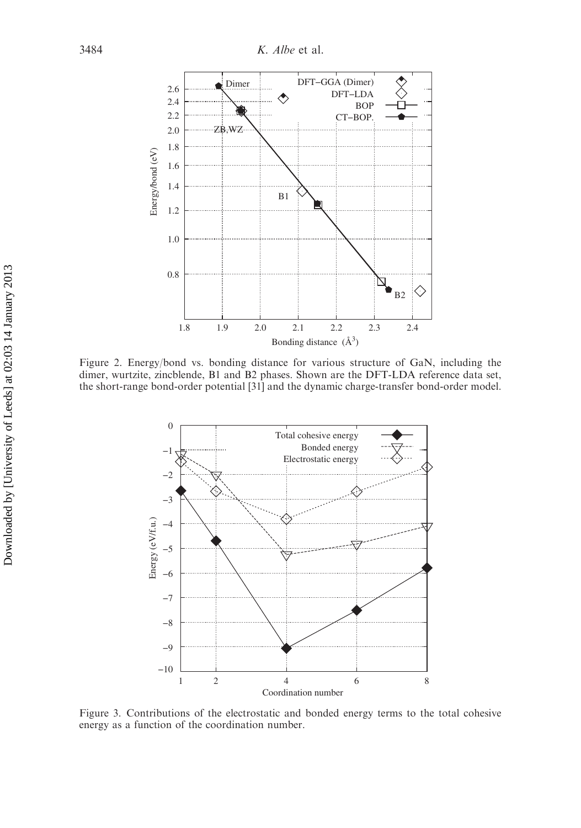

Figure 2. Energy/bond vs. bonding distance for various structure of GaN, including the dimer, wurtzite, zincblende, B1 and B2 phases. Shown are the DFT-LDA reference data set, the short-range bond-order potential [31] and the dynamic charge-transfer bond-order model.



Figure 3. Contributions of the electrostatic and bonded energy terms to the total cohesive energy as a function of the coordination number.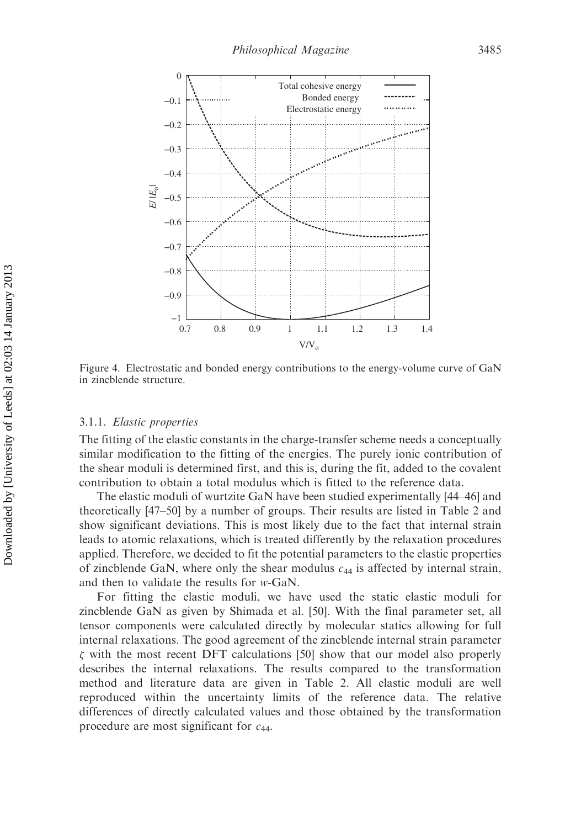

Figure 4. Electrostatic and bonded energy contributions to the energy-volume curve of GaN in zincblende structure.

# 3.1.1. Elastic properties

The fitting of the elastic constants in the charge-transfer scheme needs a conceptually similar modification to the fitting of the energies. The purely ionic contribution of the shear moduli is determined first, and this is, during the fit, added to the covalent contribution to obtain a total modulus which is fitted to the reference data.

The elastic moduli of wurtzite GaN have been studied experimentally [44–46] and theoretically [47–50] by a number of groups. Their results are listed in Table 2 and show significant deviations. This is most likely due to the fact that internal strain leads to atomic relaxations, which is treated differently by the relaxation procedures applied. Therefore, we decided to fit the potential parameters to the elastic properties of zincblende GaN, where only the shear modulus  $c_{44}$  is affected by internal strain, and then to validate the results for w-GaN.

For fitting the elastic moduli, we have used the static elastic moduli for zincblende GaN as given by Shimada et al. [50]. With the final parameter set, all tensor components were calculated directly by molecular statics allowing for full internal relaxations. The good agreement of the zincblende internal strain parameter  $\zeta$  with the most recent DFT calculations [50] show that our model also properly describes the internal relaxations. The results compared to the transformation method and literature data are given in Table 2. All elastic moduli are well reproduced within the uncertainty limits of the reference data. The relative differences of directly calculated values and those obtained by the transformation procedure are most significant for  $c_{44}$ .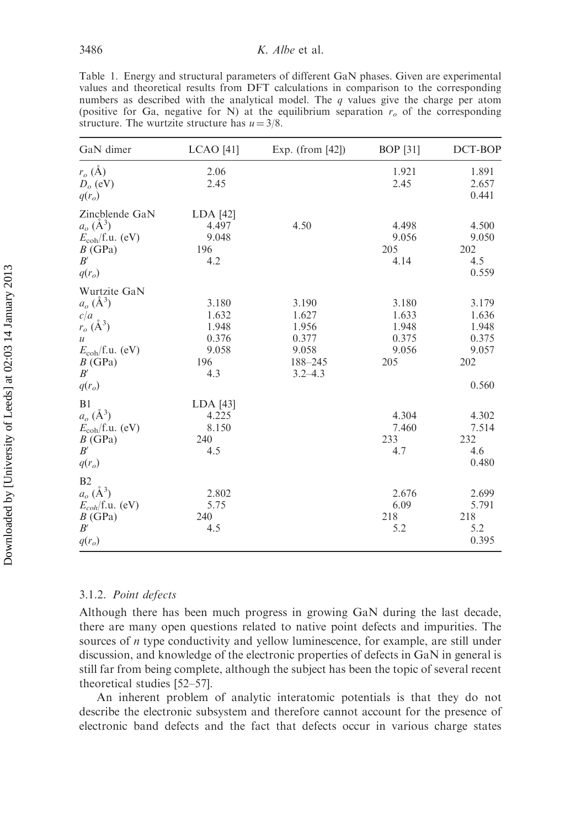Table 1. Energy and structural parameters of different GaN phases. Given are experimental values and theoretical results from DFT calculations in comparison to the corresponding numbers as described with the analytical model. The  $q$  values give the charge per atom (positive for Ga, negative for N) at the equilibrium separation  $r<sub>o</sub>$  of the corresponding structure. The wurtzite structure has  $u = 3/8$ .

| GaN dimer                                                                                                                                                          | $LCAO$ [41]                                             | Exp. (from $[42]$ )                                                 | <b>BOP</b> [31]                                  | DCT-BOP                                                   |
|--------------------------------------------------------------------------------------------------------------------------------------------------------------------|---------------------------------------------------------|---------------------------------------------------------------------|--------------------------------------------------|-----------------------------------------------------------|
| $r_o$ (Å)<br>$Do$ (eV)<br>$q(r_o)$                                                                                                                                 | 2.06<br>2.45                                            |                                                                     | 1.921<br>2.45                                    | 1.891<br>2.657<br>0.441                                   |
| Zincblende GaN<br>$a_o \; (\text{\AA}^3)$<br>$E_{\rm coh}/f.u.$ (eV)<br>B(GPa)<br>B'<br>$q(r_o)$                                                                   | LDA [42]<br>4.497<br>9.048<br>196<br>4.2                | 4.50                                                                | 4.498<br>9.056<br>205<br>4.14                    | 4.500<br>9.050<br>202<br>4.5<br>0.559                     |
| Wurtzite GaN<br>$a_o \; (\text{\AA}^3)$<br>c/a<br>$\overline{r_o}^{\mu}$ (Å <sup>3</sup> )<br>$\mathcal{U}$<br>$E_{\rm coh}/f.u.$ (eV)<br>B(GPa)<br>B'<br>$q(r_o)$ | 3.180<br>1.632<br>1.948<br>0.376<br>9.058<br>196<br>4.3 | 3.190<br>1.627<br>1.956<br>0.377<br>9.058<br>188-245<br>$3.2 - 4.3$ | 3.180<br>1.633<br>1.948<br>0.375<br>9.056<br>205 | 3.179<br>1.636<br>1.948<br>0.375<br>9.057<br>202<br>0.560 |
| B1<br>$a_o~({\rm \AA}^3)$<br>$E_{\rm coh}/f.u.$ (eV)<br>B(GPa)<br>B'<br>$q(r_o)$                                                                                   | LDA [43]<br>4.225<br>8.150<br>240<br>4.5                |                                                                     | 4.304<br>7.460<br>233<br>4.7                     | 4.302<br>7.514<br>232<br>4.6<br>0.480                     |
| B2<br>$a_o \, (\mathring{A}^3)$<br>$E_{coh}/f.u.$ (eV)<br>B(GPa)<br>B'<br>$q(r_o)$                                                                                 | 2.802<br>5.75<br>240<br>4.5                             |                                                                     | 2.676<br>6.09<br>218<br>5.2                      | 2.699<br>5.791<br>218<br>5.2<br>0.395                     |

# 3.1.2. Point defects

Although there has been much progress in growing GaN during the last decade, there are many open questions related to native point defects and impurities. The sources of n type conductivity and yellow luminescence, for example, are still under discussion, and knowledge of the electronic properties of defects in GaN in general is still far from being complete, although the subject has been the topic of several recent theoretical studies [52–57].

An inherent problem of analytic interatomic potentials is that they do not describe the electronic subsystem and therefore cannot account for the presence of electronic band defects and the fact that defects occur in various charge states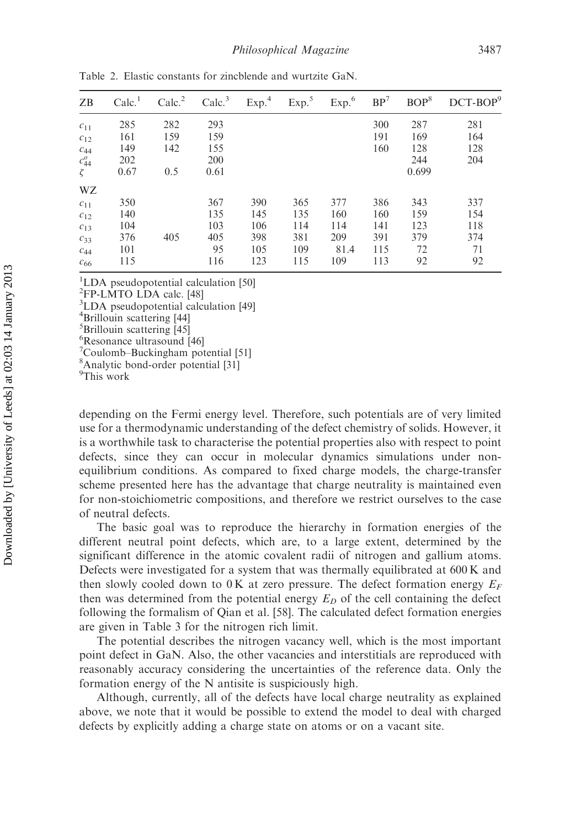| ZB         | Calc <sup>1</sup> | Calc <sup>2</sup> | Calc. $3$ | Exp. <sup>4</sup> | Exp. <sup>5</sup> | Exp. <sup>6</sup> | BP <sup>7</sup> | BOP <sup>8</sup> | $DCT-BOP9$ |
|------------|-------------------|-------------------|-----------|-------------------|-------------------|-------------------|-----------------|------------------|------------|
| $c_{11}$   | 285               | 282               | 293       |                   |                   |                   | 300             | 287              | 281        |
| $c_{12}$   | 161               | 159               | 159       |                   |                   |                   | 191             | 169              | 164        |
| $c_{44}$   | 149               | 142               | 155       |                   |                   |                   | 160             | 128              | 128        |
| $c_{44}^o$ | 202               |                   | 200       |                   |                   |                   |                 | 244              | 204        |
| $\zeta$    | 0.67              | 0.5               | 0.61      |                   |                   |                   |                 | 0.699            |            |
| WZ         |                   |                   |           |                   |                   |                   |                 |                  |            |
| $c_{11}$   | 350               |                   | 367       | 390               | 365               | 377               | 386             | 343              | 337        |
| $c_{12}$   | 140               |                   | 135       | 145               | 135               | 160               | 160             | 159              | 154        |
| $c_{13}$   | 104               |                   | 103       | 106               | 114               | 114               | 141             | 123              | 118        |
| $c_{33}$   | 376               | 405               | 405       | 398               | 381               | 209               | 391             | 379              | 374        |
| $c_{44}$   | 101               |                   | 95        | 105               | 109               | 81.4              | 115             | 72               | 71         |
| $c_{66}$   | 115               |                   | 116       | 123               | 115               | 109               | 113             | 92               | 92         |

Table 2. Elastic constants for zincblende and wurtzite GaN.

<sup>1</sup>LDA pseudopotential calculation [50]

<sup>2</sup>FP-LMTO LDA calc. [48]

3 LDA pseudopotential calculation [49]

4 Brillouin scattering [44]

5 Brillouin scattering [45] 6 Resonance ultrasound [46]

7 Coulomb–Buckingham potential [51] 8 Analytic bond-order potential [31]

9 This work

depending on the Fermi energy level. Therefore, such potentials are of very limited use for a thermodynamic understanding of the defect chemistry of solids. However, it is a worthwhile task to characterise the potential properties also with respect to point defects, since they can occur in molecular dynamics simulations under nonequilibrium conditions. As compared to fixed charge models, the charge-transfer scheme presented here has the advantage that charge neutrality is maintained even for non-stoichiometric compositions, and therefore we restrict ourselves to the case of neutral defects.

The basic goal was to reproduce the hierarchy in formation energies of the different neutral point defects, which are, to a large extent, determined by the significant difference in the atomic covalent radii of nitrogen and gallium atoms. Defects were investigated for a system that was thermally equilibrated at 600 K and then slowly cooled down to  $0K$  at zero pressure. The defect formation energy  $E_F$ then was determined from the potential energy  $E_D$  of the cell containing the defect following the formalism of Qian et al. [58]. The calculated defect formation energies are given in Table 3 for the nitrogen rich limit.

The potential describes the nitrogen vacancy well, which is the most important point defect in GaN. Also, the other vacancies and interstitials are reproduced with reasonably accuracy considering the uncertainties of the reference data. Only the formation energy of the N antisite is suspiciously high.

Although, currently, all of the defects have local charge neutrality as explained above, we note that it would be possible to extend the model to deal with charged defects by explicitly adding a charge state on atoms or on a vacant site.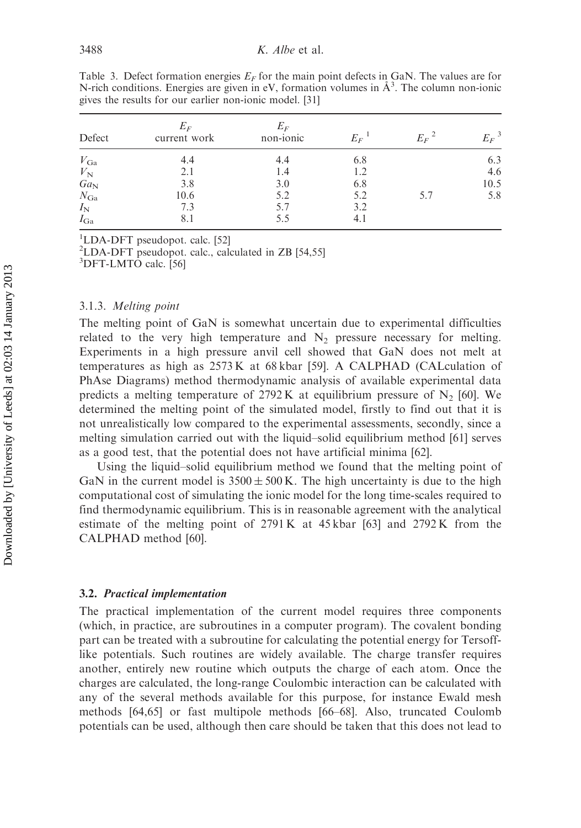Table 3. Defect formation energies  $E_F$  for the main point defects in GaN. The values are for N-rich conditions. Energies are given in eV, formation volumes in  $A<sup>3</sup>$ . The column non-ionic gives the results for our earlier non-ionic model. [31]

| Defect                         | $E_{F}$<br>current work | $E_F$<br>non-ionic | $E_F$ | $E_F$ <sup>2</sup> | $E_F$ <sup>3</sup> |
|--------------------------------|-------------------------|--------------------|-------|--------------------|--------------------|
|                                | 4.4                     | 4.4                | 6.8   |                    | 6.3                |
| $\frac{V_{\rm Ga}}{V_{\rm N}}$ | 2.1                     | 1.4                | 1.2   |                    | 4.6                |
| Ga <sub>N</sub>                | 3.8                     | 3.0                | 6.8   |                    | 10.5               |
| $N_{\rm Ga}$                   | 10.6                    | 5.2                | 5.2   | 5.7                | 5.8                |
| $I_{\rm N}$                    | 7.3                     | 5.7                | 3.2   |                    |                    |
| $I_{Ga}$                       | 8.1                     | 5.5                | 4.1   |                    |                    |

<sup>1</sup>LDA-DFT pseudopot. calc. [52]

<sup>2</sup>LDA-DFT pseudopot. calc., calculated in ZB [54,55]

<sup>3</sup>DFT-LMTO calc. [56]

# 3.1.3. Melting point

The melting point of GaN is somewhat uncertain due to experimental difficulties related to the very high temperature and  $N_2$  pressure necessary for melting. Experiments in a high pressure anvil cell showed that GaN does not melt at temperatures as high as 2573 K at 68 kbar [59]. A CALPHAD (CALculation of PhAse Diagrams) method thermodynamic analysis of available experimental data predicts a melting temperature of 2792 K at equilibrium pressure of  $N_2$  [60]. We determined the melting point of the simulated model, firstly to find out that it is not unrealistically low compared to the experimental assessments, secondly, since a melting simulation carried out with the liquid–solid equilibrium method [61] serves as a good test, that the potential does not have artificial minima [62].

Using the liquid–solid equilibrium method we found that the melting point of GaN in the current model is  $3500 \pm 500$  K. The high uncertainty is due to the high computational cost of simulating the ionic model for the long time-scales required to find thermodynamic equilibrium. This is in reasonable agreement with the analytical estimate of the melting point of 2791 K at 45 kbar [63] and 2792 K from the CALPHAD method [60].

# 3.2. Practical implementation

The practical implementation of the current model requires three components (which, in practice, are subroutines in a computer program). The covalent bonding part can be treated with a subroutine for calculating the potential energy for Tersofflike potentials. Such routines are widely available. The charge transfer requires another, entirely new routine which outputs the charge of each atom. Once the charges are calculated, the long-range Coulombic interaction can be calculated with any of the several methods available for this purpose, for instance Ewald mesh methods [64,65] or fast multipole methods [66–68]. Also, truncated Coulomb potentials can be used, although then care should be taken that this does not lead to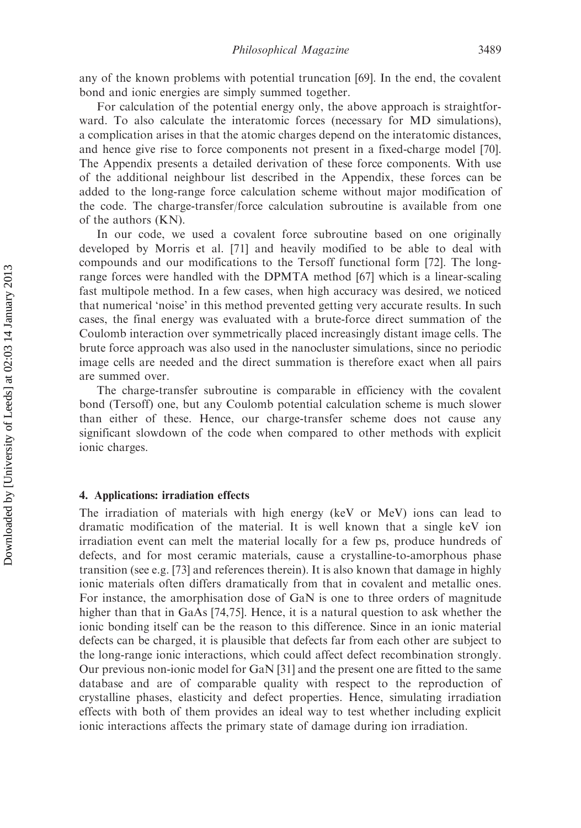any of the known problems with potential truncation [69]. In the end, the covalent bond and ionic energies are simply summed together.

For calculation of the potential energy only, the above approach is straightforward. To also calculate the interatomic forces (necessary for MD simulations), a complication arises in that the atomic charges depend on the interatomic distances, and hence give rise to force components not present in a fixed-charge model [70]. The Appendix presents a detailed derivation of these force components. With use of the additional neighbour list described in the Appendix, these forces can be added to the long-range force calculation scheme without major modification of the code. The charge-transfer/force calculation subroutine is available from one of the authors (KN).

In our code, we used a covalent force subroutine based on one originally developed by Morris et al. [71] and heavily modified to be able to deal with compounds and our modifications to the Tersoff functional form [72]. The longrange forces were handled with the DPMTA method [67] which is a linear-scaling fast multipole method. In a few cases, when high accuracy was desired, we noticed that numerical 'noise' in this method prevented getting very accurate results. In such cases, the final energy was evaluated with a brute-force direct summation of the Coulomb interaction over symmetrically placed increasingly distant image cells. The brute force approach was also used in the nanocluster simulations, since no periodic image cells are needed and the direct summation is therefore exact when all pairs are summed over.

The charge-transfer subroutine is comparable in efficiency with the covalent bond (Tersoff) one, but any Coulomb potential calculation scheme is much slower than either of these. Hence, our charge-transfer scheme does not cause any significant slowdown of the code when compared to other methods with explicit ionic charges.

# 4. Applications: irradiation effects

The irradiation of materials with high energy (keV or MeV) ions can lead to dramatic modification of the material. It is well known that a single keV ion irradiation event can melt the material locally for a few ps, produce hundreds of defects, and for most ceramic materials, cause a crystalline-to-amorphous phase transition (see e.g. [73] and references therein). It is also known that damage in highly ionic materials often differs dramatically from that in covalent and metallic ones. For instance, the amorphisation dose of GaN is one to three orders of magnitude higher than that in GaAs [74,75]. Hence, it is a natural question to ask whether the ionic bonding itself can be the reason to this difference. Since in an ionic material defects can be charged, it is plausible that defects far from each other are subject to the long-range ionic interactions, which could affect defect recombination strongly. Our previous non-ionic model for GaN [31] and the present one are fitted to the same database and are of comparable quality with respect to the reproduction of crystalline phases, elasticity and defect properties. Hence, simulating irradiation effects with both of them provides an ideal way to test whether including explicit ionic interactions affects the primary state of damage during ion irradiation.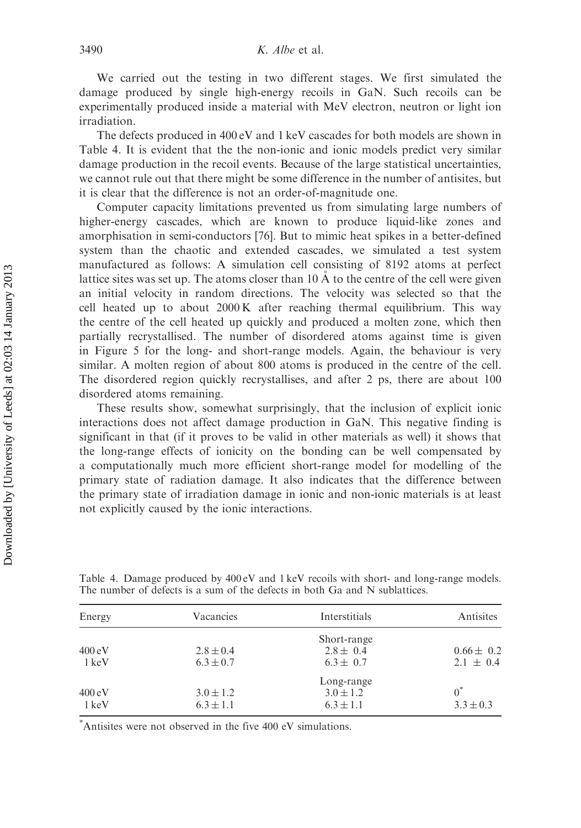We carried out the testing in two different stages. We first simulated the damage produced by single high-energy recoils in GaN. Such recoils can be experimentally produced inside a material with MeV electron, neutron or light ion irradiation.

The defects produced in 400 eV and 1 keV cascades for both models are shown in Table 4. It is evident that the the non-ionic and ionic models predict very similar damage production in the recoil events. Because of the large statistical uncertainties, we cannot rule out that there might be some difference in the number of antisites, but it is clear that the difference is not an order-of-magnitude one.

Computer capacity limitations prevented us from simulating large numbers of higher-energy cascades, which are known to produce liquid-like zones and amorphisation in semi-conductors [76]. But to mimic heat spikes in a better-defined system than the chaotic and extended cascades, we simulated a test system manufactured as follows: A simulation cell consisting of 8192 atoms at perfect lattice sites was set up. The atoms closer than  $10 \text{ Å}$  to the centre of the cell were given an initial velocity in random directions. The velocity was selected so that the cell heated up to about 2000 K after reaching thermal equilibrium. This way the centre of the cell heated up quickly and produced a molten zone, which then partially recrystallised. The number of disordered atoms against time is given in Figure 5 for the long- and short-range models. Again, the behaviour is very similar. A molten region of about 800 atoms is produced in the centre of the cell. The disordered region quickly recrystallises, and after 2 ps, there are about 100 disordered atoms remaining.

These results show, somewhat surprisingly, that the inclusion of explicit ionic interactions does not affect damage production in GaN. This negative finding is significant in that (if it proves to be valid in other materials as well) it shows that the long-range effects of ionicity on the bonding can be well compensated by a computationally much more efficient short-range model for modelling of the primary state of radiation damage. It also indicates that the difference between the primary state of irradiation damage in ionic and non-ionic materials is at least not explicitly caused by the ionic interactions.

| Energy           | Vacancies     | Interstitials | Antisites      |
|------------------|---------------|---------------|----------------|
|                  |               | Short-range   |                |
| $400 \text{ eV}$ | $2.8 \pm 0.4$ | $2.8 \pm 0.4$ | $0.66 \pm 0.2$ |
| 1 keV            | $6.3 \pm 0.7$ | $6.3 \pm 0.7$ | $2.1 \pm 0.4$  |
|                  |               | Long-range    |                |
| $400 \text{ eV}$ | $3.0 \pm 1.2$ | $3.0 \pm 1.2$ | $0^*$          |
| 1 keV            | $6.3 \pm 1.1$ | $6.3 \pm 1.1$ | $3.3 \pm 0.3$  |

Table 4. Damage produced by 400 eV and 1 keV recoils with short- and long-range models. The number of defects is a sum of the defects in both Ga and N sublattices.

\* Antisites were not observed in the five 400 eV simulations.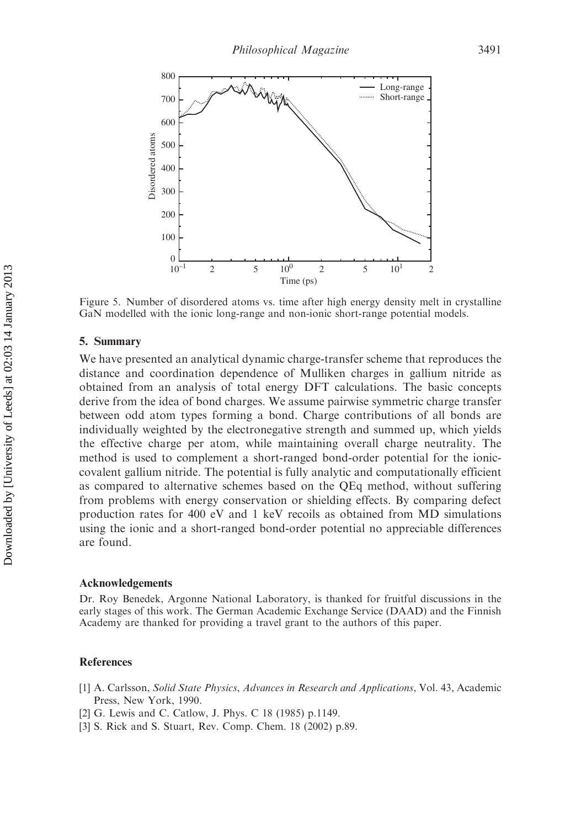

Figure 5. Number of disordered atoms vs. time after high energy density melt in crystalline GaN modelled with the ionic long-range and non-ionic short-range potential models.

# 5. Summary

We have presented an analytical dynamic charge-transfer scheme that reproduces the distance and coordination dependence of Mulliken charges in gallium nitride as obtained from an analysis of total energy DFT calculations. The basic concepts derive from the idea of bond charges. We assume pairwise symmetric charge transfer between odd atom types forming a bond. Charge contributions of all bonds are individually weighted by the electronegative strength and summed up, which yields the effective charge per atom, while maintaining overall charge neutrality. The method is used to complement a short-ranged bond-order potential for the ioniccovalent gallium nitride. The potential is fully analytic and computationally efficient as compared to alternative schemes based on the QEq method, without suffering from problems with energy conservation or shielding effects. By comparing defect production rates for 400 eV and 1 keV recoils as obtained from MD simulations using the ionic and a short-ranged bond-order potential no appreciable differences are found.

# Acknowledgements

Dr. Roy Benedek, Argonne National Laboratory, is thanked for fruitful discussions in the early stages of this work. The German Academic Exchange Service (DAAD) and the Finnish Academy are thanked for providing a travel grant to the authors of this paper.

#### References

- [1] A. Carlsson, Solid State Physics, Advances in Research and Applications, Vol. 43, Academic Press, New York, 1990.
- [2] G. Lewis and C. Catlow, J. Phys. C 18 (1985) p.1149.
- [3] S. Rick and S. Stuart, Rev. Comp. Chem. 18 (2002) p.89.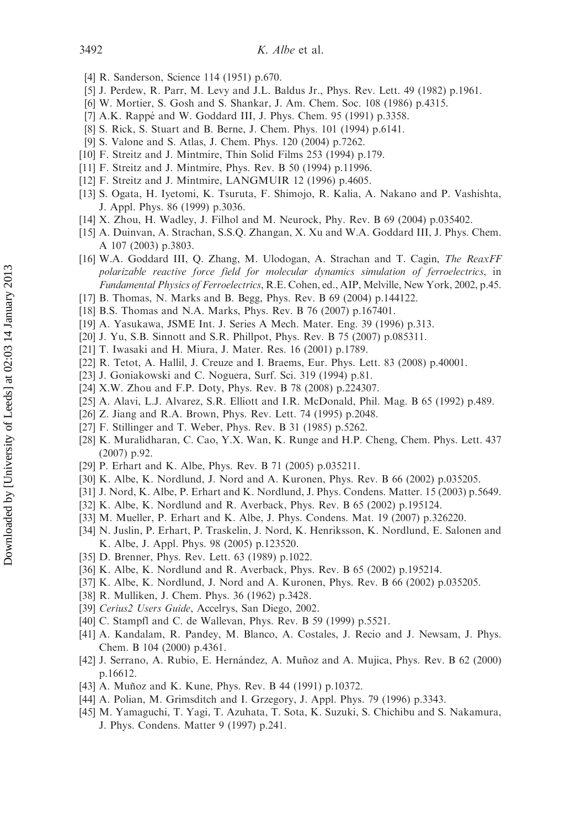- [4] R. Sanderson, Science 114 (1951) p.670.
- [5] J. Perdew, R. Parr, M. Levy and J.L. Baldus Jr., Phys. Rev. Lett. 49 (1982) p.1961.
- [6] W. Mortier, S. Gosh and S. Shankar, J. Am. Chem. Soc. 108 (1986) p.4315.
- [7] A.K. Rappé and W. Goddard III, J. Phys. Chem. 95 (1991) p.3358.
- [8] S. Rick, S. Stuart and B. Berne, J. Chem. Phys. 101 (1994) p.6141.
- [9] S. Valone and S. Atlas, J. Chem. Phys. 120 (2004) p.7262.
- [10] F. Streitz and J. Mintmire, Thin Solid Films 253 (1994) p.179.
- [11] F. Streitz and J. Mintmire, Phys. Rev. B 50 (1994) p.11996.
- [12] F. Streitz and J. Mintmire, LANGMUIR 12 (1996) p.4605.
- [13] S. Ogata, H. Iyetomi, K. Tsuruta, F. Shimojo, R. Kalia, A. Nakano and P. Vashishta, J. Appl. Phys. 86 (1999) p.3036.
- [14] X. Zhou, H. Wadley, J. Filhol and M. Neurock, Phy. Rev. B 69 (2004) p.035402.
- [15] A. Duinvan, A. Strachan, S.S.Q. Zhangan, X. Xu and W.A. Goddard III, J. Phys. Chem. A 107 (2003) p.3803.
- [16] W.A. Goddard III, Q. Zhang, M. Ulodogan, A. Strachan and T. Cagin, The ReaxFF polarizable reactive force field for molecular dynamics simulation of ferroelectrics, in Fundamental Physics of Ferroelectrics, R.E. Cohen, ed., AIP, Melville, New York, 2002, p.45.
- [17] B. Thomas, N. Marks and B. Begg, Phys. Rev. B 69 (2004) p.144122.
- [18] B.S. Thomas and N.A. Marks, Phys. Rev. B 76 (2007) p.167401.
- [19] A. Yasukawa, JSME Int. J. Series A Mech. Mater. Eng. 39 (1996) p.313.
- [20] J. Yu, S.B. Sinnott and S.R. Phillpot, Phys. Rev. B 75 (2007) p.085311.
- [21] T. Iwasaki and H. Miura, J. Mater. Res. 16 (2001) p.1789.
- [22] R. Tetot, A. Hallil, J. Creuze and I. Braems, Eur. Phys. Lett. 83 (2008) p.40001.
- [23] J. Goniakowski and C. Noguera, Surf. Sci. 319 (1994) p.81.
- [24] X.W. Zhou and F.P. Doty, Phys. Rev. B 78 (2008) p.224307.
- [25] A. Alavi, L.J. Alvarez, S.R. Elliott and I.R. McDonald, Phil. Mag. B 65 (1992) p.489.
- [26] Z. Jiang and R.A. Brown, Phys. Rev. Lett. 74 (1995) p.2048.
- [27] F. Stillinger and T. Weber, Phys. Rev. B 31 (1985) p.5262.
- [28] K. Muralidharan, C. Cao, Y.X. Wan, K. Runge and H.P. Cheng, Chem. Phys. Lett. 437 (2007) p.92.
- [29] P. Erhart and K. Albe, Phys. Rev. B 71 (2005) p.035211.
- [30] K. Albe, K. Nordlund, J. Nord and A. Kuronen, Phys. Rev. B 66 (2002) p.035205.
- [31] J. Nord, K. Albe, P. Erhart and K. Nordlund, J. Phys. Condens. Matter. 15 (2003) p.5649.
- [32] K. Albe, K. Nordlund and R. Averback, Phys. Rev. B 65 (2002) p.195124.
- [33] M. Mueller, P. Erhart and K. Albe, J. Phys. Condens. Mat. 19 (2007) p.326220.
- [34] N. Juslin, P. Erhart, P. Traskelin, J. Nord, K. Henriksson, K. Nordlund, E. Salonen and K. Albe, J. Appl. Phys. 98 (2005) p.123520.
- [35] D. Brenner, Phys. Rev. Lett. 63 (1989) p.1022.
- [36] K. Albe, K. Nordlund and R. Averback, Phys. Rev. B 65 (2002) p.195214.
- [37] K. Albe, K. Nordlund, J. Nord and A. Kuronen, Phys. Rev. B 66 (2002) p.035205.
- [38] R. Mulliken, J. Chem. Phys. 36 (1962) p.3428.
- [39] Cerius2 Users Guide, Accelrys, San Diego, 2002.
- [40] C. Stampfl and C. de Wallevan, Phys. Rev. B 59 (1999) p.5521.
- [41] A. Kandalam, R. Pandey, M. Blanco, A. Costales, J. Recio and J. Newsam, J. Phys. Chem. B 104 (2000) p.4361.
- [42] J. Serrano, A. Rubio, E. Hernández, A. Muñoz and A. Mujica, Phys. Rev. B 62 (2000) p.16612.
- [43] A. Muñoz and K. Kune, Phys. Rev. B 44 (1991) p.10372.
- [44] A. Polian, M. Grimsditch and I. Grzegory, J. Appl. Phys. 79 (1996) p.3343.
- [45] M. Yamaguchi, T. Yagi, T. Azuhata, T. Sota, K. Suzuki, S. Chichibu and S. Nakamura, J. Phys. Condens. Matter 9 (1997) p.241.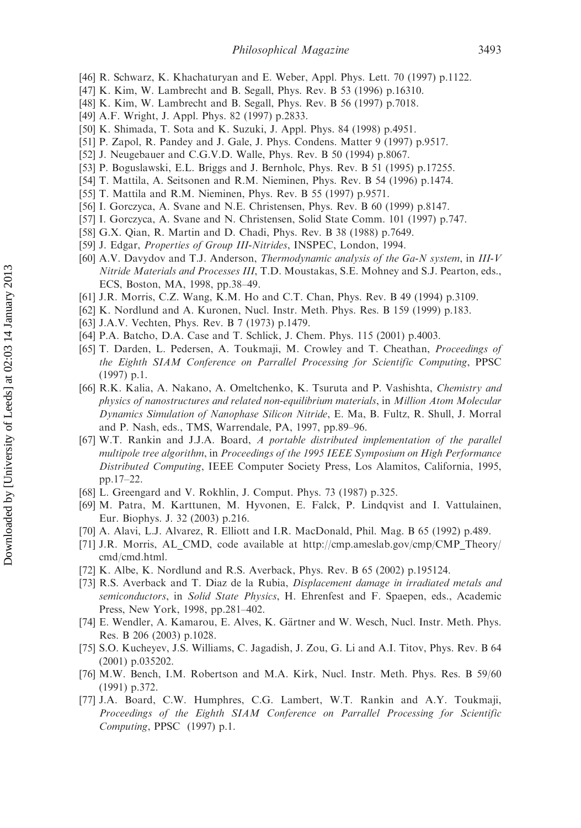- [46] R. Schwarz, K. Khachaturyan and E. Weber, Appl. Phys. Lett. 70 (1997) p.1122.
- [47] K. Kim, W. Lambrecht and B. Segall, Phys. Rev. B 53 (1996) p.16310.
- [48] K. Kim, W. Lambrecht and B. Segall, Phys. Rev. B 56 (1997) p.7018.
- [49] A.F. Wright, J. Appl. Phys. 82 (1997) p.2833.
- [50] K. Shimada, T. Sota and K. Suzuki, J. Appl. Phys. 84 (1998) p.4951.
- [51] P. Zapol, R. Pandey and J. Gale, J. Phys. Condens. Matter 9 (1997) p.9517.
- [52] J. Neugebauer and C.G.V.D. Walle, Phys. Rev. B 50 (1994) p.8067.
- [53] P. Boguslawski, E.L. Briggs and J. Bernholc, Phys. Rev. B 51 (1995) p.17255.
- [54] T. Mattila, A. Seitsonen and R.M. Nieminen, Phys. Rev. B 54 (1996) p.1474.
- [55] T. Mattila and R.M. Nieminen, Phys. Rev. B 55 (1997) p.9571.
- [56] I. Gorczyca, A. Svane and N.E. Christensen, Phys. Rev. B 60 (1999) p.8147.
- [57] I. Gorczyca, A. Svane and N. Christensen, Solid State Comm. 101 (1997) p.747.
- [58] G.X. Qian, R. Martin and D. Chadi, Phys. Rev. B 38 (1988) p.7649.
- [59] J. Edgar, Properties of Group III-Nitrides, INSPEC, London, 1994.
- [60] A.V. Davydov and T.J. Anderson, Thermodynamic analysis of the Ga-N system, in III-V Nitride Materials and Processes III, T.D. Moustakas, S.E. Mohney and S.J. Pearton, eds., ECS, Boston, MA, 1998, pp.38–49.
- [61] J.R. Morris, C.Z. Wang, K.M. Ho and C.T. Chan, Phys. Rev. B 49 (1994) p.3109.
- [62] K. Nordlund and A. Kuronen, Nucl. Instr. Meth. Phys. Res. B 159 (1999) p.183.
- [63] J.A.V. Vechten, Phys. Rev. B 7 (1973) p.1479.
- [64] P.A. Batcho, D.A. Case and T. Schlick, J. Chem. Phys. 115 (2001) p.4003.
- [65] T. Darden, L. Pedersen, A. Toukmaji, M. Crowley and T. Cheathan, Proceedings of the Eighth SIAM Conference on Parrallel Processing for Scientific Computing, PPSC (1997) p.1.
- [66] R.K. Kalia, A. Nakano, A. Omeltchenko, K. Tsuruta and P. Vashishta, Chemistry and physics of nanostructures and related non-equilibrium materials, in Million Atom Molecular Dynamics Simulation of Nanophase Silicon Nitride, E. Ma, B. Fultz, R. Shull, J. Morral and P. Nash, eds., TMS, Warrendale, PA, 1997, pp.89–96.
- [67] W.T. Rankin and J.J.A. Board, A portable distributed implementation of the parallel multipole tree algorithm, in Proceedings of the 1995 IEEE Symposium on High Performance Distributed Computing, IEEE Computer Society Press, Los Alamitos, California, 1995, pp.17–22.
- [68] L. Greengard and V. Rokhlin, J. Comput. Phys. 73 (1987) p.325.
- [69] M. Patra, M. Karttunen, M. Hyvonen, E. Falck, P. Lindqvist and I. Vattulainen, Eur. Biophys. J. 32 (2003) p.216.
- [70] A. Alavi, L.J. Alvarez, R. Elliott and I.R. MacDonald, Phil. Mag. B 65 (1992) p.489.
- [71] J.R. Morris, AL\_CMD, code available at http://cmp.ameslab.gov/cmp/CMP\_Theory/ cmd/cmd.html.
- [72] K. Albe, K. Nordlund and R.S. Averback, Phys. Rev. B 65 (2002) p.195124.
- [73] R.S. Averback and T. Diaz de la Rubia, Displacement damage in irradiated metals and semiconductors, in Solid State Physics, H. Ehrenfest and F. Spaepen, eds., Academic Press, New York, 1998, pp.281–402.
- [74] E. Wendler, A. Kamarou, E. Alves, K. Gärtner and W. Wesch, Nucl. Instr. Meth. Phys. Res. B 206 (2003) p.1028.
- [75] S.O. Kucheyev, J.S. Williams, C. Jagadish, J. Zou, G. Li and A.I. Titov, Phys. Rev. B 64 (2001) p.035202.
- [76] M.W. Bench, I.M. Robertson and M.A. Kirk, Nucl. Instr. Meth. Phys. Res. B 59/60 (1991) p.372.
- [77] J.A. Board, C.W. Humphres, C.G. Lambert, W.T. Rankin and A.Y. Toukmaji, Proceedings of the Eighth SIAM Conference on Parrallel Processing for Scientific Computing, PPSC (1997) p.1.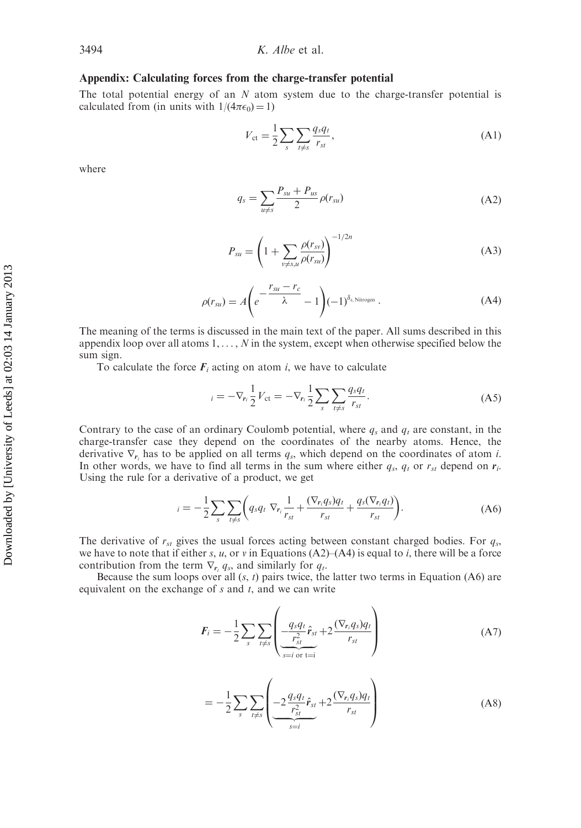# Appendix: Calculating forces from the charge-transfer potential

The total potential energy of an  $N$  atom system due to the charge-transfer potential is calculated from (in units with  $1/(4\pi\epsilon_0) = 1$ )

$$
V_{\rm ct} = \frac{1}{2} \sum_{s} \sum_{t \neq s} \frac{q_s q_t}{r_{st}},\tag{A1}
$$

where

$$
q_s = \sum_{u \neq s} \frac{P_{su} + P_{us}}{2} \rho(r_{su})
$$
\n(A2)

$$
P_{su} = \left(1 + \sum_{v \neq s, u} \frac{\rho(r_{sv})}{\rho(r_{su})}\right)^{-1/2n}
$$
 (A3)

$$
\rho(r_{su}) = A \left( e^{-\frac{r_{su} - r_c}{\lambda}} - 1 \right) (-1)^{\delta_{s, \text{Nitrogen}}}.
$$
\n(A4)

The meaning of the terms is discussed in the main text of the paper. All sums described in this appendix loop over all atoms  $1, \ldots, N$  in the system, except when otherwise specified below the sum sign.

To calculate the force  $F_i$  acting on atom i, we have to calculate

$$
_{i} = -\nabla_{r_{i}} \frac{1}{2} V_{\text{ct}} = -\nabla_{r_{i}} \frac{1}{2} \sum_{s} \sum_{t \neq s} \frac{q_{s} q_{t}}{r_{st}}.
$$
 (A5)

Contrary to the case of an ordinary Coulomb potential, where  $q_s$  and  $q_t$  are constant, in the charge-transfer case they depend on the coordinates of the nearby atoms. Hence, the derivative  $\nabla$ <sub>r</sub>, has to be applied on all terms  $q_s$ , which depend on the coordinates of atom i. In other words, we have to find all terms in the sum where either  $q_s$ ,  $q_t$  or  $r_{st}$  depend on  $r_t$ . Using the rule for a derivative of a product, we get

$$
I_{i} = -\frac{1}{2} \sum_{s} \sum_{t \neq s} \left( q_{s} q_{t} \nabla_{r_{i}} \frac{1}{r_{st}} + \frac{(\nabla_{r_{i}} q_{s}) q_{t}}{r_{st}} + \frac{q_{s}(\nabla_{r_{i}} q_{t})}{r_{st}} \right).
$$
(A6)

The derivative of  $r_{st}$  gives the usual forces acting between constant charged bodies. For  $q_s$ , we have to note that if either s, u, or v in Equations (A2)–(A4) is equal to i, there will be a force contribution from the term  $\nabla_{r_i} q_s$ , and similarly for  $q_t$ .

Because the sum loops over all  $(s, t)$  pairs twice, the latter two terms in Equation (A6) are equivalent on the exchange of  $s$  and  $t$ , and we can write

$$
F_i = -\frac{1}{2} \sum_{s} \sum_{t \neq s} \left( \underbrace{\frac{q_s q_t}{r_{st}^2} \hat{r}_{st}}_{s=i \text{ or } t=i} + 2 \frac{(\nabla_{r_i} q_s) q_t}{r_{st}} \right)
$$
(A7)

$$
= -\frac{1}{2} \sum_{s} \sum_{t \neq s} \left( \underbrace{-2 \frac{q_s q_t}{r_{st}^2} \hat{r}_{st}}_{s=t} + 2 \underbrace{(\nabla_{r_i} q_s) q_t}_{r_{st}} \right)
$$
(A8)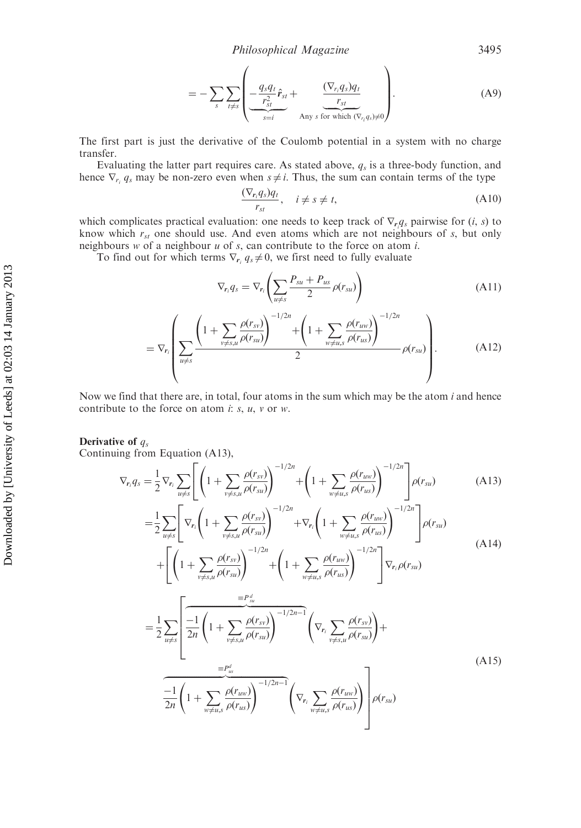$$
= -\sum_{s}\sum_{t\neq s}\left(\underbrace{-\frac{q_s q_t}{r_{st}^2}\hat{r}_{st}}_{s=i}\right. + \underbrace{\underbrace{(\nabla_{r_i}q_s)q_t}_{r_{st}}}_{\text{Any } s \text{ for which } (\nabla_{r_i}q_s)\neq 0}\right).
$$
(A9)

The first part is just the derivative of the Coulomb potential in a system with no charge transfer.

Evaluating the latter part requires care. As stated above,  $q_s$  is a three-body function, and hence  $\nabla_{r_i} q_s$  may be non-zero even when  $s \neq i$ . Thus, the sum can contain terms of the type

$$
\frac{(\nabla_{r_i} q_s) q_t}{r_{st}}, \quad i \neq s \neq t,
$$
\n(A10)

which complicates practical evaluation: one needs to keep track of  $\nabla_{\mathbf{r}_i} q_s$  pairwise for  $(i, s)$  to know which  $r_{st}$  one should use. And even atoms which are not neighbours of s, but only neighbours  $w$  of a neighbour  $u$  of  $s$ , can contribute to the force on atom  $i$ .

To find out for which terms  $\nabla_{r_i} q_s \neq 0$ , we first need to fully evaluate

$$
\nabla_{r_i} q_s = \nabla_{r_i} \left( \sum_{u \neq s} \frac{P_{su} + P_{us}}{2} \rho(r_{su}) \right) \tag{A11}
$$

$$
= \nabla_{r_i} \left( \sum_{u \neq s} \frac{\left( 1 + \sum_{v \neq s, u} \frac{\rho(r_{sv})}{\rho(r_{su})} \right)^{-1/2n} + \left( 1 + \sum_{w \neq u, s} \frac{\rho(r_{uv})}{\rho(r_{us})} \right)^{-1/2n}}{2} \rho(r_{su}) \right). \tag{A12}
$$

Now we find that there are, in total, four atoms in the sum which may be the atom  $i$  and hence contribute to the force on atom i:  $s, u, v$  or  $w$ .

### Derivative of  $q_s$

Continuing from Equation (A13),

$$
\nabla_{r_i} q_s = \frac{1}{2} \nabla_{r_i} \sum_{u \neq s} \left[ \left( 1 + \sum_{v \neq s, u} \frac{\rho(r_{sv})}{\rho(r_{su})} \right)^{-1/2n} + \left( 1 + \sum_{w \neq u, s} \frac{\rho(r_{uvv})}{\rho(r_{us})} \right)^{-1/2n} \right] \rho(r_{su}) \tag{A13}
$$
\n
$$
= \frac{1}{2} \sum_{u \neq s} \left[ \nabla_{r_i} \left( 1 + \sum_{v \neq s, u} \frac{\rho(r_{sv})}{\rho(r_{su})} \right)^{-1/2n} + \nabla_{r_i} \left( 1 + \sum_{w \neq u, s} \frac{\rho(r_{uvv})}{\rho(r_{us})} \right)^{-1/2n} \right] \rho(r_{su}) \tag{A14}
$$
\n
$$
+ \left[ \left( 1 + \sum_{v \neq s, u} \frac{\rho(r_{sv})}{\rho(r_{su})} \right)^{-1/2n} + \left( 1 + \sum_{w \neq u, s} \frac{\rho(r_{uvv})}{\rho(r_{us})} \right)^{-1/2n} \right] \nabla_{r_i} \rho(r_{su}) \tag{A14}
$$
\n
$$
= \frac{1}{2} \sum_{u \neq s} \left[ \frac{-1}{2n} \left( 1 + \sum_{v \neq s, u} \frac{\rho(r_{sv})}{\rho(r_{su})} \right)^{-1/2n-1} \left( \nabla_{r_i} \sum_{v \neq s, u} \frac{\rho(r_{sv})}{\rho(r_{su})} \right) + \right. \tag{A15}
$$
\n
$$
= \frac{-1}{2n} \left( 1 + \sum_{w \neq u, s} \frac{\rho(r_{uvv})}{\rho(r_{us})} \right)^{-1/2n-1} \left( \nabla_{r_i} \sum_{w \neq u, s} \frac{\rho(r_{uvv})}{\rho(r_{us})} \right) \rho(r_{su})
$$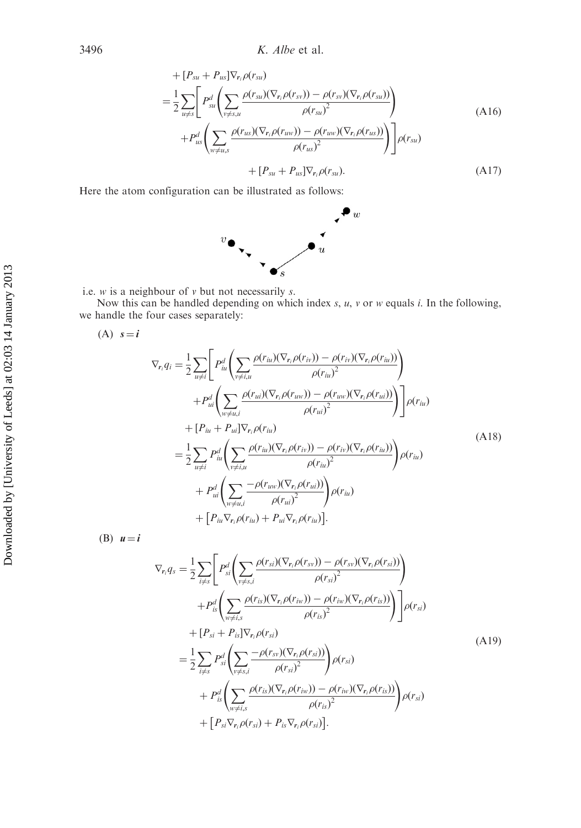+ 
$$
[P_{su} + P_{us}] \nabla_{r_i} \rho(r_{su})
$$
  
\n= $\frac{1}{2} \sum_{u \neq s} \left[ P_{su}^d \left( \sum_{v \neq s, u} \frac{\rho(r_{su})(\nabla_{r_i} \rho(r_{sv})) - \rho(r_{sv})(\nabla_{r_i} \rho(r_{su}))}{\rho(r_{su})^2} \right) + P_{us}^d \left( \sum_{w \neq u, s} \frac{\rho(r_{us})(\nabla_{r_i} \rho(r_{uw})) - \rho(r_{uw})(\nabla_{r_i} \rho(r_{us}))}{\rho(r_{us})^2} \right) \right) \rho(r_{su}) + [P_{su} + P_{us}] \nabla_{r_i} \rho(r_{su}).$ \n(A17)

Here the atom configuration can be illustrated as follows:



i.e.  $w$  is a neighbour of  $v$  but not necessarily  $s$ .

Now this can be handled depending on which index  $s$ ,  $u$ ,  $v$  or  $w$  equals  $i$ . In the following, we handle the four cases separately:

 $(A)$   $s = i$ 

$$
\nabla_{r_i} q_i = \frac{1}{2} \sum_{u \neq i} \left[ P_{iu}^d \left( \sum_{v \neq i, u} \frac{\rho(r_{iu})(\nabla_{r_i} \rho(r_{iv})) - \rho(r_{iv})(\nabla_{r_i} \rho(r_{iu}))}{\rho(r_{iu})^2} \right) \right. \\
\left. + P_{ui}^d \left( \sum_{w \neq u, i} \frac{\rho(r_{ui})(\nabla_{r_i} \rho(r_{uw})) - \rho(r_{uw})(\nabla_{r_i} \rho(r_{ui}))}{\rho(r_{ui})^2} \right) \right] \rho(r_{iu}) \\
+ [P_{iu} + P_{ui}]\nabla_{r_i} \rho(r_{iu}) \\
= \frac{1}{2} \sum_{u \neq i} P_{iu}^d \left( \sum_{v \neq i, u} \frac{\rho(r_{iu})(\nabla_{r_i} \rho(r_{iv})) - \rho(r_{iv})(\nabla_{r_i} \rho(r_{iu}))}{\rho(r_{iu})^2} \right) \rho(r_{iu}) \\
+ P_{ui}^d \left( \sum_{w \neq u, i} \frac{-\rho(r_{uw})(\nabla_{r_i} \rho(r_{ui}))}{\rho(r_{ui})^2} \right) \rho(r_{iu}) \\
+ [P_{iu} \nabla_{r_i} \rho(r_{iu}) + P_{ui} \nabla_{r_i} \rho(r_{iu})].
$$
\n(A18)

(B)  $u = i$ 

$$
\nabla_{r_i} q_s = \frac{1}{2} \sum_{i \neq s} \left[ P_{si}^d \left( \sum_{v \neq s,i} \frac{\rho(r_{si})(\nabla_{r_i} \rho(r_{sv})) - \rho(r_{sv})(\nabla_{r_i} \rho(r_{si}))}{\rho(r_{si})^2} \right) \right. \\
\left. + P_{is}^d \left( \sum_{v \neq i,s} \frac{\rho(r_{is})(\nabla_{r_i} \rho(r_{iw})) - \rho(r_{iw})(\nabla_{r_i} \rho(r_{is}))}{\rho(r_{is})^2} \right) \right] \rho(r_{si}) \\
= \frac{1}{2} \sum_{i \neq s} P_{si}^d \left( \sum_{v \neq s,i} \frac{-\rho(r_{sv})(\nabla_{r_i} \rho(r_{si}))}{\rho(r_{si})^2} \right) \rho(r_{si}) \\
+ P_{is}^d \left( \sum_{v \neq i,s} \frac{\rho(r_{is})(\nabla_{r_i} \rho(r_{iw})) - \rho(r_{iw})(\nabla_{r_i} \rho(r_{is}))}{\rho(r_{is})^2} \right) \rho(r_{si}) \\
+ \left[ P_{si} \nabla_{r_i} \rho(r_{si}) + P_{is} \nabla_{r_i} \rho(r_{si}) \right].
$$
\n(A19)